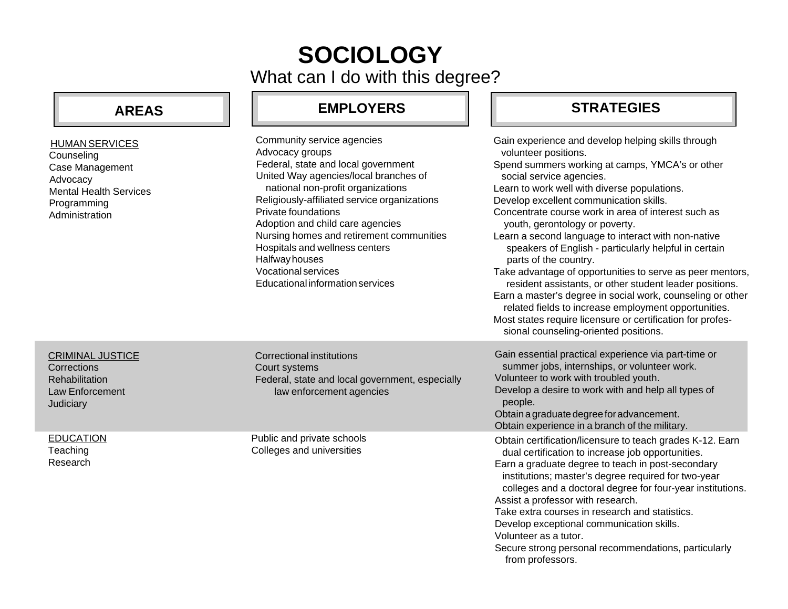# What can I do with this degree? **SOCIOLOGY**

**EMPLOYERS STRATEGIES**

## **AREAS**

| <b>HUMAN SERVICES</b><br>Counseling<br>Case Management<br>Advocacy<br><b>Mental Health Services</b><br>Programming<br>Administration | Community service agencies<br>Advocacy groups<br>Federal, state and local government<br>United Way agencies/local branches of<br>national non-profit organizations<br>Religiously-affiliated service organizations<br>Private foundations<br>Adoption and child care agencies<br>Nursing homes and retirement communities<br>Hospitals and wellness centers<br>Halfway houses<br><b>Vocational services</b><br>Educational information services | Gain experience and develop helping skills through<br>volunteer positions.<br>Spend summers working at camps, YMCA's or other<br>social service agencies.<br>Learn to work well with diverse populations.<br>Develop excellent communication skills.<br>Concentrate course work in area of interest such as<br>youth, gerontology or poverty.<br>Learn a second language to interact with non-native<br>speakers of English - particularly helpful in certain<br>parts of the country.<br>Take advantage of opportunities to serve as peer mentors,<br>resident assistants, or other student leader positions.<br>Earn a master's degree in social work, counseling or other<br>related fields to increase employment opportunities.<br>Most states require licensure or certification for profes-<br>sional counseling-oriented positions. |
|--------------------------------------------------------------------------------------------------------------------------------------|-------------------------------------------------------------------------------------------------------------------------------------------------------------------------------------------------------------------------------------------------------------------------------------------------------------------------------------------------------------------------------------------------------------------------------------------------|---------------------------------------------------------------------------------------------------------------------------------------------------------------------------------------------------------------------------------------------------------------------------------------------------------------------------------------------------------------------------------------------------------------------------------------------------------------------------------------------------------------------------------------------------------------------------------------------------------------------------------------------------------------------------------------------------------------------------------------------------------------------------------------------------------------------------------------------|
| <b>CRIMINAL JUSTICE</b><br>Corrections<br><b>Rehabilitation</b><br>Law Enforcement<br>Judiciary                                      | <b>Correctional institutions</b><br>Court systems<br>Federal, state and local government, especially<br>law enforcement agencies                                                                                                                                                                                                                                                                                                                | Gain essential practical experience via part-time or<br>summer jobs, internships, or volunteer work.<br>Volunteer to work with troubled youth.<br>Develop a desire to work with and help all types of<br>people.<br>Obtain a graduate degree for advancement.<br>Obtain experience in a branch of the military.                                                                                                                                                                                                                                                                                                                                                                                                                                                                                                                             |
| <b>EDUCATION</b><br>Teaching<br>Research                                                                                             | Public and private schools<br>Colleges and universities                                                                                                                                                                                                                                                                                                                                                                                         | Obtain certification/licensure to teach grades K-12. Earn<br>dual certification to increase job opportunities.<br>Earn a graduate degree to teach in post-secondary<br>institutions; master's degree required for two-year<br>colleges and a doctoral degree for four-year institutions.<br>Assist a professor with research.<br>Take extra courses in research and statistics.<br>Develop exceptional communication skills.<br>Volunteer as a tutor.                                                                                                                                                                                                                                                                                                                                                                                       |

Secure strong personal recommendations, particularly from professors.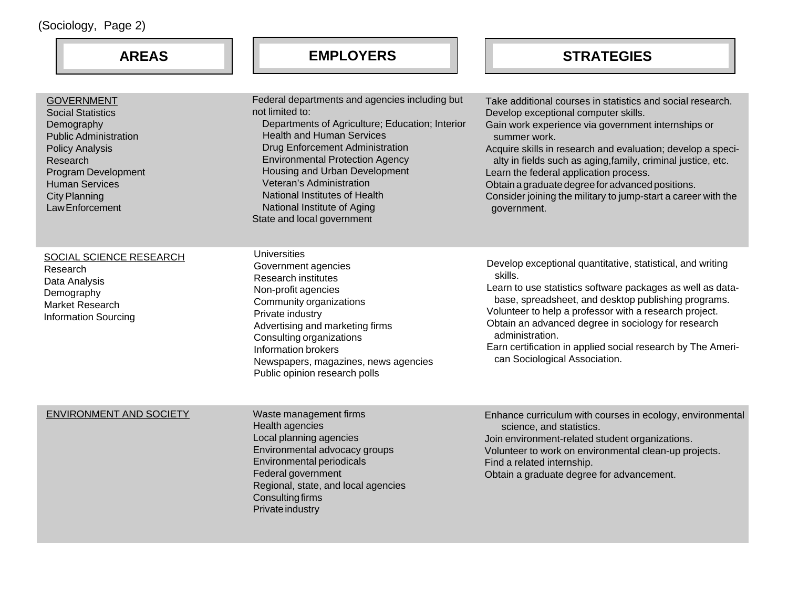| (Sociology, Page 2)                                                                                                                                                                                                                 |                                                                                                                                                                                                                                                                                                                                                                                                         |
|-------------------------------------------------------------------------------------------------------------------------------------------------------------------------------------------------------------------------------------|---------------------------------------------------------------------------------------------------------------------------------------------------------------------------------------------------------------------------------------------------------------------------------------------------------------------------------------------------------------------------------------------------------|
| <b>AREAS</b>                                                                                                                                                                                                                        | <b>EMPLOYERS</b>                                                                                                                                                                                                                                                                                                                                                                                        |
| <b>GOVERNMENT</b><br><b>Social Statistics</b><br>Demography<br><b>Public Administration</b><br><b>Policy Analysis</b><br>Research<br>Program Development<br><b>Human Services</b><br><b>City Planning</b><br><b>Law Enforcement</b> | Federal departments and agencies including but<br>not limited to:<br>Departments of Agriculture; Education; Interior<br><b>Health and Human Services</b><br><b>Drug Enforcement Administration</b><br><b>Environmental Protection Agency</b><br>Housing and Urban Development<br>Veteran's Administration<br>National Institutes of Health<br>National Institute of Aging<br>State and local government |

Universities

SOCIAL SCIENCE RESEARCH Research Data Analysis Demography Market Research

Information Sourcing

Government agencies Research institutes Non-profit agencies Community organizations Private industry Advertising and marketing fir Consulting organizations Information brokers Newspapers, magazines, ne Public opinion research polls

**AREAS EMPLOYERS STRATEGIES**

| encies including but<br>e; Education; Interior<br>es:<br>istration<br>Agency<br>lopment<br>th | Take additional courses in statistics and social research.<br>Develop exceptional computer skills.<br>Gain work experience via government internships or<br>summer work.<br>Acquire skills in research and evaluation; develop a speci-<br>alty in fields such as aging, family, criminal justice, etc.<br>Learn the federal application process.<br>Obtain a graduate degree for advanced positions.<br>Consider joining the military to jump-start a career with the<br>government. |
|-----------------------------------------------------------------------------------------------|---------------------------------------------------------------------------------------------------------------------------------------------------------------------------------------------------------------------------------------------------------------------------------------------------------------------------------------------------------------------------------------------------------------------------------------------------------------------------------------|
|                                                                                               |                                                                                                                                                                                                                                                                                                                                                                                                                                                                                       |
| irms<br>ews agencies<br>S                                                                     | Develop exceptional quantitative, statistical, and writing<br>skills.<br>Learn to use statistics software packages as well as data-<br>base, spreadsheet, and desktop publishing programs.<br>Volunteer to help a professor with a research project.<br>Obtain an advanced degree in sociology for research<br>administration.<br>Earn certification in applied social research by The Ameri-<br>can Sociological Association.                                                        |

#### ENVIRONMENT AND SOCIETY

Waste management firms Health agencies Local planning agencies Environmental advocacy groups Environmental periodicals Federal government Regional, state, and local agencies Consulting firms Private industry

Enhance curriculum with courses in ecology, environmental science, and statistics. Join environment-related student organizations. Volunteer to work on environmental clean-up projects. Find a related internship. Obtain a graduate degree for advancement.